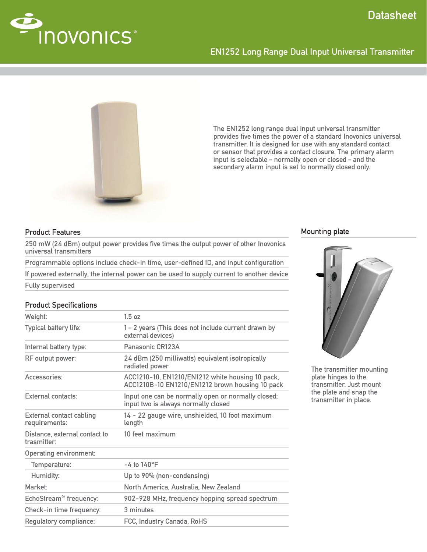

# EN1252 Long Range Dual Input Universal Transmitter



The EN1252 long range dual input universal transmitter provides five times the power of a standard Inovonics universal transmitter. It is designed for use with any standard contact or sensor that provides a contact closure. The primary alarm input is selectable – normally open or closed – and the secondary alarm input is set to normally closed only.

### Product Features

250 mW (24 dBm) output power provides five times the output power of other Inovonics universal transmitters

Programmable options include check-in time, user-defined ID, and input configuration

If powered externally, the internal power can be used to supply current to another device

Fully supervised

## **Product Specifications**

| Weight:                                                  | 1.5 oz                                                                                              |
|----------------------------------------------------------|-----------------------------------------------------------------------------------------------------|
| Typical battery life:                                    | 1 – 2 years (This does not include current drawn by<br>external devices)                            |
| Internal battery type:                                   | Panasonic CR123A                                                                                    |
| RF output power:                                         | 24 dBm (250 milliwatts) equivalent isotropically<br>radiated power                                  |
| Accessories:                                             | ACC1210-10, EN1210/EN1212 white housing 10 pack,<br>ACC1210B-10 EN1210/EN1212 brown housing 10 pack |
| External contacts:                                       | Input one can be normally open or normally closed;<br>input two is always normally closed           |
| <b>External contact cabling</b><br>requirements:         | 14 - 22 gauge wire, unshielded, 10 foot maximum<br>length                                           |
| Distance, external contact to<br>trasmitter <sup>.</sup> | 10 feet maximum                                                                                     |
| <b>Operating environment:</b>                            |                                                                                                     |
| Temperature:                                             | $-4$ to $140^{\circ}$ F                                                                             |
| Humidity:                                                | Up to 90% (non-condensing)                                                                          |
| Market:                                                  | North America, Australia, New Zealand                                                               |
| EchoStream <sup>®</sup> frequency:                       | 902-928 MHz, frequency hopping spread spectrum                                                      |
| Check-in time frequency:                                 | 3 minutes                                                                                           |
| Regulatory compliance:                                   | FCC, Industry Canada, RoHS                                                                          |

#### Mounting plate



The transmitter mounting plate hinges to the transmitter. Just mount the plate and snap the transmitter in place.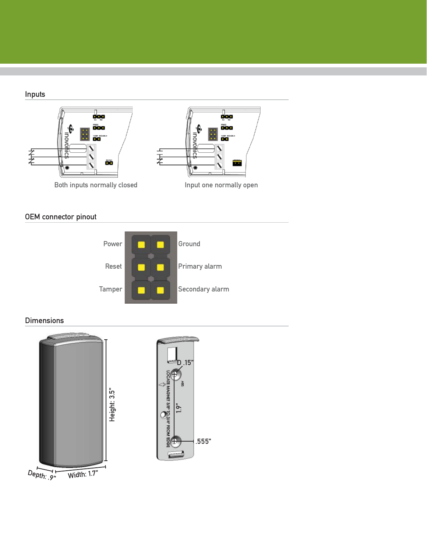# Inputs



# OEM connector pinout



## Dimensions





 $\overline{\text{Width: } 1.7" }$  $De<sub>pth</sub>:  $9''$$